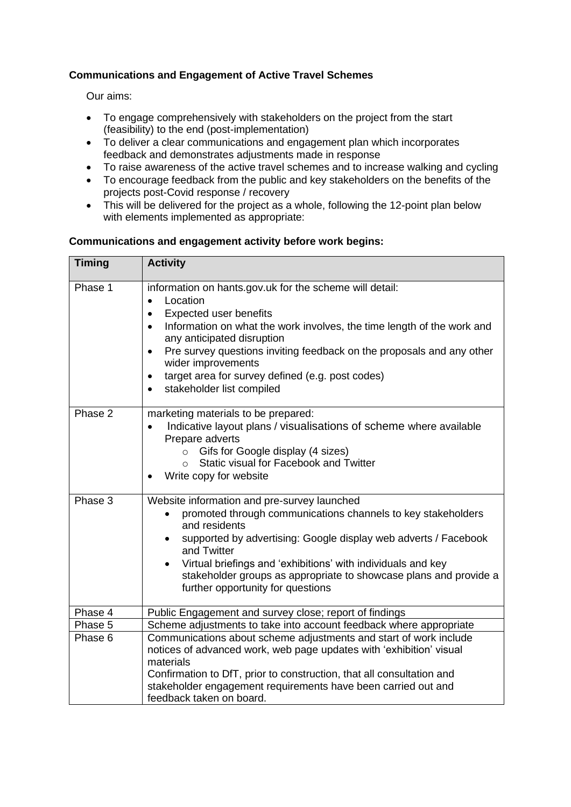## **Communications and Engagement of Active Travel Schemes**

Our aims:

- To engage comprehensively with stakeholders on the project from the start (feasibility) to the end (post-implementation)
- To deliver a clear communications and engagement plan which incorporates feedback and demonstrates adjustments made in response
- To raise awareness of the active travel schemes and to increase walking and cycling
- To encourage feedback from the public and key stakeholders on the benefits of the projects post-Covid response / recovery
- This will be delivered for the project as a whole, following the 12-point plan below with elements implemented as appropriate:

## **Communications and engagement activity before work begins:**

| <b>Timing</b> | <b>Activity</b>                                                                                                                                                                                                                                                                                                                                                                                                                                                            |
|---------------|----------------------------------------------------------------------------------------------------------------------------------------------------------------------------------------------------------------------------------------------------------------------------------------------------------------------------------------------------------------------------------------------------------------------------------------------------------------------------|
| Phase 1       | information on hants.gov.uk for the scheme will detail:<br>Location<br>$\bullet$<br><b>Expected user benefits</b><br>$\bullet$<br>Information on what the work involves, the time length of the work and<br>$\bullet$<br>any anticipated disruption<br>Pre survey questions inviting feedback on the proposals and any other<br>$\bullet$<br>wider improvements<br>target area for survey defined (e.g. post codes)<br>$\bullet$<br>stakeholder list compiled<br>$\bullet$ |
| Phase 2       | marketing materials to be prepared:<br>Indicative layout plans / visualisations of scheme where available<br>$\bullet$<br>Prepare adverts<br>Gifs for Google display (4 sizes)<br>$\circ$<br>Static visual for Facebook and Twitter<br>$\circ$<br>Write copy for website                                                                                                                                                                                                   |
| Phase 3       | Website information and pre-survey launched<br>promoted through communications channels to key stakeholders<br>and residents<br>supported by advertising: Google display web adverts / Facebook<br>and Twitter<br>Virtual briefings and 'exhibitions' with individuals and key<br>stakeholder groups as appropriate to showcase plans and provide a<br>further opportunity for questions                                                                                   |
| Phase 4       | Public Engagement and survey close; report of findings                                                                                                                                                                                                                                                                                                                                                                                                                     |
| Phase 5       | Scheme adjustments to take into account feedback where appropriate                                                                                                                                                                                                                                                                                                                                                                                                         |
| Phase 6       | Communications about scheme adjustments and start of work include<br>notices of advanced work, web page updates with 'exhibition' visual<br>materials<br>Confirmation to DfT, prior to construction, that all consultation and<br>stakeholder engagement requirements have been carried out and<br>feedback taken on board.                                                                                                                                                |